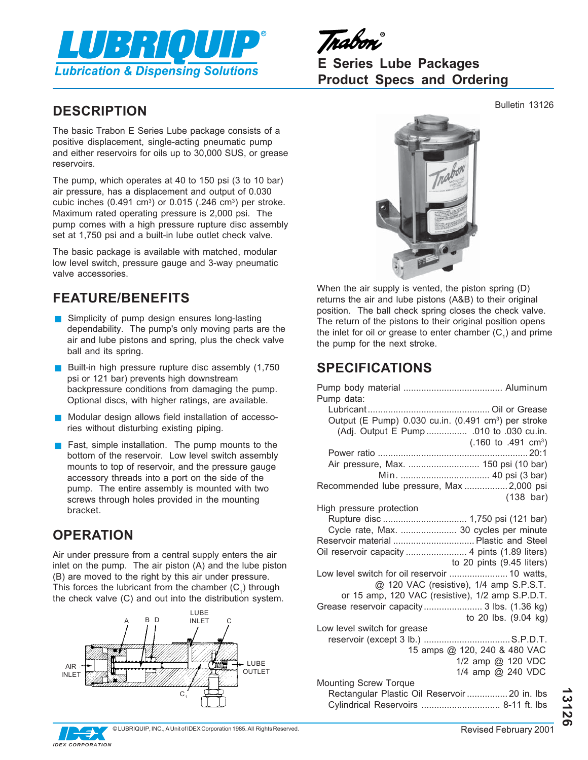

Trabon

**E Series Lube Packages Product Specs and Ordering**

# **DESCRIPTION** Bulletin 13126

The basic Trabon E Series Lube package consists of a positive displacement, single-acting pneumatic pump and either reservoirs for oils up to 30,000 SUS, or grease reservoirs.

The pump, which operates at 40 to 150 psi (3 to 10 bar) air pressure, has a displacement and output of 0.030 cubic inches  $(0.491 \text{ cm}^3)$  or  $0.015$   $(.246 \text{ cm}^3)$  per stroke. Maximum rated operating pressure is 2,000 psi. The pump comes with a high pressure rupture disc assembly set at 1,750 psi and a built-in lube outlet check valve.

The basic package is available with matched, modular low level switch, pressure gauge and 3-way pneumatic valve accessories.

## **FEATURE/BENEFITS**

- **B** Simplicity of pump design ensures long-lasting dependability. The pump's only moving parts are the air and lube pistons and spring, plus the check valve ball and its spring.
- Built-in high pressure rupture disc assembly  $(1,750)$ psi or 121 bar) prevents high downstream backpressure conditions from damaging the pump. Optional discs, with higher ratings, are available.
- Modular design allows field installation of accessories without disturbing existing piping.
- $\blacksquare$  Fast, simple installation. The pump mounts to the bottom of the reservoir. Low level switch assembly mounts to top of reservoir, and the pressure gauge accessory threads into a port on the side of the pump. The entire assembly is mounted with two screws through holes provided in the mounting bracket.

## **OPERATION**

Air under pressure from a central supply enters the air inlet on the pump. The air piston (A) and the lube piston (B) are moved to the right by this air under pressure. This forces the lubricant from the chamber  $(C_1)$  through the check valve (C) and out into the distribution system.







When the air supply is vented, the piston spring (D) returns the air and lube pistons (A&B) to their original position. The ball check spring closes the check valve. The return of the pistons to their original position opens the inlet for oil or grease to enter chamber  $(C_1)$  and prime the pump for the next stroke.

# **SPECIFICATIONS**

| Pump data:                                                       |
|------------------------------------------------------------------|
|                                                                  |
| Output (E Pump) 0.030 cu.in. (0.491 cm <sup>3</sup> ) per stroke |
| (Adj. Output E Pump  .010 to .030 cu.in.                         |
| $(.160 \text{ to } .491 \text{ cm}^3)$                           |
|                                                                  |
| Air pressure, Max.  150 psi (10 bar)                             |
|                                                                  |
|                                                                  |
| Recommended lube pressure, Max  2,000 psi                        |
| $(138 \text{ bar})$                                              |
| High pressure protection                                         |
|                                                                  |
| Cycle rate, Max.  30 cycles per minute                           |
| Reservoir material  Plastic and Steel                            |
| Oil reservoir capacity  4 pints (1.89 liters)                    |
| to 20 pints (9.45 liters)                                        |
| Low level switch for oil reservoir  10 watts,                    |
| @ 120 VAC (resistive), 1/4 amp S.P.S.T.                          |
| or 15 amp, 120 VAC (resistive), 1/2 amp S.P.D.T.                 |
|                                                                  |
| to 20 lbs. (9.04 kg)                                             |
| Low level switch for grease                                      |
|                                                                  |
| 15 amps @ 120, 240 & 480 VAC                                     |
| 1/2 amp @ 120 VDC                                                |
| 1/4 amp @ 240 VDC                                                |
| <b>Mounting Screw Torque</b>                                     |
| Rectangular Plastic Oil Reservoir  20 in. Ibs                    |
| Cylindrical Reservoirs  8-11 ft. lbs                             |

**13126**